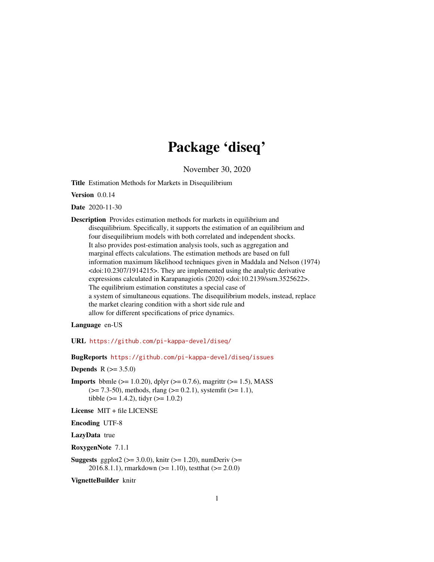# Package 'diseq'

November 30, 2020

<span id="page-0-0"></span>Title Estimation Methods for Markets in Disequilibrium

Version 0.0.14

Date 2020-11-30

Description Provides estimation methods for markets in equilibrium and disequilibrium. Specifically, it supports the estimation of an equilibrium and four disequilibrium models with both correlated and independent shocks. It also provides post-estimation analysis tools, such as aggregation and marginal effects calculations. The estimation methods are based on full information maximum likelihood techniques given in Maddala and Nelson (1974) <doi:10.2307/1914215>. They are implemented using the analytic derivative expressions calculated in Karapanagiotis (2020) <doi:10.2139/ssrn.3525622>. The equilibrium estimation constitutes a special case of a system of simultaneous equations. The disequilibrium models, instead, replace the market clearing condition with a short side rule and allow for different specifications of price dynamics.

Language en-US

URL <https://github.com/pi-kappa-devel/diseq/>

BugReports <https://github.com/pi-kappa-devel/diseq/issues>

**Depends**  $R (= 3.5.0)$ 

**Imports** bbmle ( $>= 1.0.20$ ), dplyr ( $>= 0.7.6$ ), magrittr ( $>= 1.5$ ), MASS  $(>= 7.3-50)$ , methods, rlang  $(>= 0.2.1)$ , systemfit  $(>= 1.1)$ , tibble ( $> = 1.4.2$ ), tidyr ( $> = 1.0.2$ )

License MIT + file LICENSE

Encoding UTF-8

LazyData true

RoxygenNote 7.1.1

Suggests ggplot2 ( $>= 3.0.0$ ), knitr ( $>= 1.20$ ), numDeriv ( $>=$ 2016.8.1.1), rmarkdown ( $>= 1.10$ ), testthat ( $>= 2.0.0$ )

VignetteBuilder knitr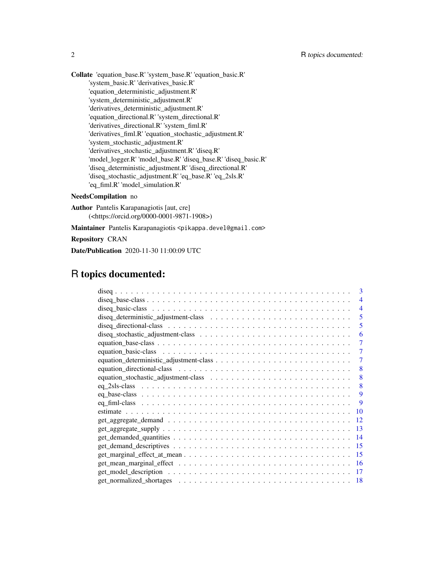Collate 'equation\_base.R' 'system\_base.R' 'equation\_basic.R' 'system\_basic.R' 'derivatives\_basic.R' 'equation\_deterministic\_adjustment.R' 'system\_deterministic\_adjustment.R' 'derivatives\_deterministic\_adjustment.R' 'equation\_directional.R' 'system\_directional.R' 'derivatives\_directional.R' 'system\_fiml.R' 'derivatives\_fiml.R' 'equation\_stochastic\_adjustment.R' 'system\_stochastic\_adjustment.R' 'derivatives\_stochastic\_adjustment.R' 'diseq.R' 'model\_logger.R' 'model\_base.R' 'diseq\_base.R' 'diseq\_basic.R' 'diseq\_deterministic\_adjustment.R' 'diseq\_directional.R' 'diseq\_stochastic\_adjustment.R' 'eq\_base.R' 'eq\_2sls.R' 'eq\_fiml.R' 'model\_simulation.R'

# NeedsCompilation no

Author Pantelis Karapanagiotis [aut, cre] (<https://orcid.org/0000-0001-9871-1908>)

Maintainer Pantelis Karapanagiotis <pikappa.devel@gmail.com>

Repository CRAN

Date/Publication 2020-11-30 11:00:09 UTC

# R topics documented:

| 3                        |  |
|--------------------------|--|
| $\overline{\mathcal{A}}$ |  |
| $\overline{\mathcal{A}}$ |  |
| 5                        |  |
| 5                        |  |
| 6                        |  |
|                          |  |
|                          |  |
| 7                        |  |
| 8                        |  |
| 8                        |  |
| 8                        |  |
| 9                        |  |
| -9                       |  |
| 10                       |  |
| 12                       |  |
| 13                       |  |
| 14                       |  |
| 15                       |  |
| 15                       |  |
| 16                       |  |
| 17                       |  |
| 18                       |  |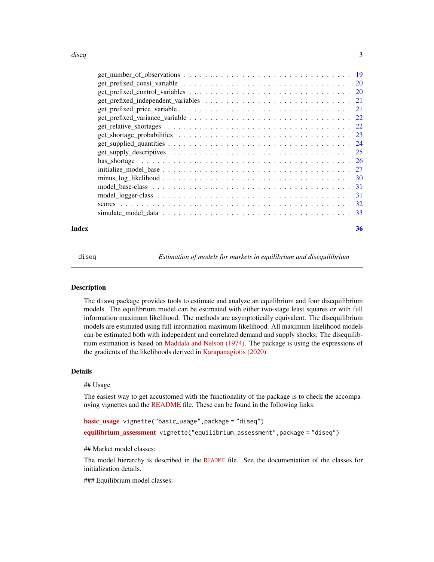#### <span id="page-2-0"></span>diseq 3

| Index | 36 |
|-------|----|

diseq *Estimation of models for markets in equilibrium and disequilibrium*

# Description

The diseq package provides tools to estimate and analyze an equilibrium and four disequilibrium models. The equilibrium model can be estimated with either two-stage least squares or with full information maximum likelihood. The methods are asymptotically equivalent. The disequilibrium models are estimated using full information maximum likelihood. All maximum likelihood models can be estimated both with independent and correlated demand and supply shocks. The disequilibrium estimation is based on [Maddala and Nelson \(1974\).](https://doi.org/10.2307/1914215) The package is using the expressions of the gradients of the likelihoods derived in [Karapanagiotis \(2020\).](http://dx.doi.org/10.2139/ssrn.3525622)

# Details

#### ## Usage

The easiest way to get accustomed with the functionality of the package is to check the accompanying vignettes and the [README](../README.html) file. These can be found in the following links:

```
basic_usage vignette("basic_usage",package = "diseq")
equilibrium_assessment vignette("equilibrium_assessment", package = "diseq")
```
## Market model classes:

The model hierarchy is described in the [README](../README.html) file. See the documentation of the classes for initialization details.

### Equilibrium model classes: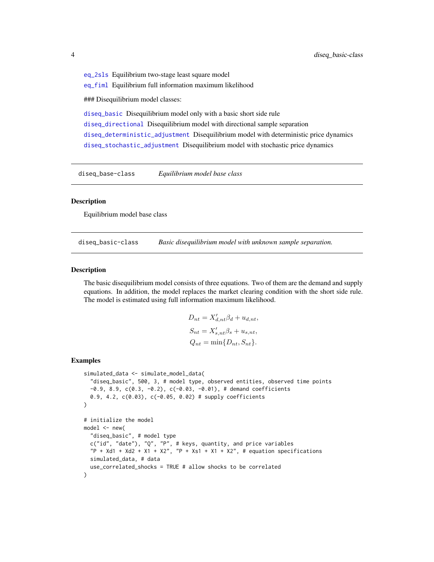<span id="page-3-0"></span>[eq\\_2sls](#page-7-1) Equilibrium two-stage least square model [eq\\_fiml](#page-8-1) Equilibrium full information maximum likelihood ### Disequilibrium model classes: [diseq\\_basic](#page-3-1) Disequilibrium model only with a basic short side rule

[diseq\\_directional](#page-4-1) Disequilibrium model with directional sample separation [diseq\\_deterministic\\_adjustment](#page-4-2) Disequilibrium model with deterministic price dynamics [diseq\\_stochastic\\_adjustment](#page-5-1) Disequilibrium model with stochastic price dynamics

diseq\_base-class *Equilibrium model base class*

#### Description

Equilibrium model base class

<span id="page-3-1"></span>diseq\_basic-class *Basic disequilibrium model with unknown sample separation.*

#### Description

The basic disequilibrium model consists of three equations. Two of them are the demand and supply equations. In addition, the model replaces the market clearing condition with the short side rule. The model is estimated using full information maximum likelihood.

$$
D_{nt} = X'_{d,nt} \beta_d + u_{d,nt},
$$
  
\n
$$
S_{nt} = X'_{s,nt} \beta_s + u_{s,nt},
$$
  
\n
$$
Q_{nt} = \min\{D_{nt}, S_{nt}\}.
$$

```
simulated_data <- simulate_model_data(
  "diseq_basic", 500, 3, # model type, observed entities, observed time points
 -0.9, 8.9, c(0.3, -0.2), c(-0.03, -0.01), \# demand coefficients0.9, 4.2, c(0.03), c(-0.05, 0.02) # supply coefficients
)
# initialize the model
model <- new(
 "diseq_basic", # model type
 c("id", "date"), "Q", "P", # keys, quantity, and price variables
 "P + Xd1 + Xd2 + X1 + X2", "P + Xs1 + X1 + X2", # equation specificationssimulated_data, # data
 use_correlated_shocks = TRUE # allow shocks to be correlated
)
```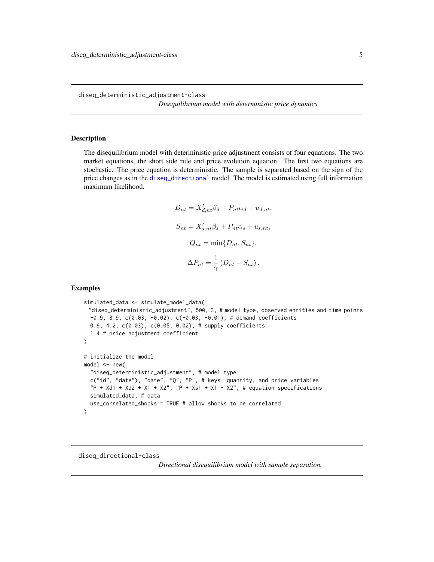<span id="page-4-2"></span><span id="page-4-0"></span>diseq\_deterministic\_adjustment-class

*Disequilibrium model with deterministic price dynamics.*

#### Description

The disequilibrium model with deterministic price adjustment consists of four equations. The two market equations, the short side rule and price evolution equation. The first two equations are stochastic. The price equation is deterministic. The sample is separated based on the sign of the price changes as in the [diseq\\_directional](#page-4-1) model. The model is estimated using full information maximum likelihood.

$$
D_{nt} = X'_{d,nt} \beta_d + P_{nt} \alpha_d + u_{d,nt},
$$
  
\n
$$
S_{nt} = X'_{s,nt} \beta_s + P_{nt} \alpha_s + u_{s,nt},
$$
  
\n
$$
Q_{nt} = \min\{D_{nt}, S_{nt}\},
$$
  
\n
$$
\Delta P_{nt} = \frac{1}{\gamma} (D_{nt} - S_{nt}).
$$

# Examples

```
simulated_data <- simulate_model_data(
 "diseq_deterministic_adjustment", 500, 3, # model type, observed entities and time points
 -0.9, 8.9, c(0.03, -0.02), c(-0.03, -0.01), \# demand coefficients
 0.9, 4.2, c(0.03), c(0.05, 0.02), # supply coefficients
 1.4 # price adjustment coefficient
)
# initialize the model
model < - new("diseq_deterministic_adjustment", # model type
 c("id", "date"), "date", "Q", "P", # keys, quantity, and price variables
 "P + Xd1 + Xd2 + X1 + X2", "P + Xs1 + X1 + X2", # equation specificationssimulated_data, # data
 use_correlated_shocks = TRUE # allow shocks to be correlated
)
```
#### <span id="page-4-1"></span>diseq\_directional-class

*Directional disequilibrium model with sample separation.*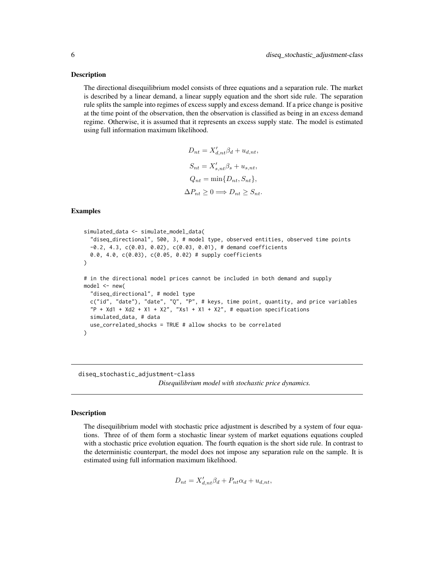#### <span id="page-5-0"></span>Description

The directional disequilibrium model consists of three equations and a separation rule. The market is described by a linear demand, a linear supply equation and the short side rule. The separation rule splits the sample into regimes of excess supply and excess demand. If a price change is positive at the time point of the observation, then the observation is classified as being in an excess demand regime. Otherwise, it is assumed that it represents an excess supply state. The model is estimated using full information maximum likelihood.

```
D_{nt} = X'_{d,nt} \beta_d + u_{d,nt},S_{nt} = X'_{s,nt} \beta_s + u_{s,nt},Q_{nt} = \min\{D_{nt}, S_{nt}\},\\Delta P_{nt} \geq 0 \Longrightarrow D_{nt} \geq S_{nt}.
```
#### Examples

```
simulated_data <- simulate_model_data(
  "diseq_directional", 500, 3, # model type, observed entities, observed time points
 -0.2, 4.3, c(0.03, 0.02), c(0.03, 0.01), # demand coefficients
 0.0, 4.0, c(0.03), c(0.05, 0.02) # supply coefficients
)
# in the directional model prices cannot be included in both demand and supply
model < - new("diseq_directional", # model type
 c("id", "date"), "date", "Q", "P", # keys, time point, quantity, and price variables
  "P + Xd1 + Xd2 + X1 + X2", "Xs1 + X1 + X2", # equation specificationssimulated_data, # data
 use_correlated_shocks = TRUE # allow shocks to be correlated
)
```
<span id="page-5-1"></span>diseq\_stochastic\_adjustment-class *Disequilibrium model with stochastic price dynamics.*

# Description

The disequilibrium model with stochastic price adjustment is described by a system of four equations. Three of of them form a stochastic linear system of market equations equations coupled with a stochastic price evolution equation. The fourth equation is the short side rule. In contrast to the deterministic counterpart, the model does not impose any separation rule on the sample. It is estimated using full information maximum likelihood.

$$
D_{nt} = X'_{d,nt} \beta_d + P_{nt} \alpha_d + u_{d,nt},
$$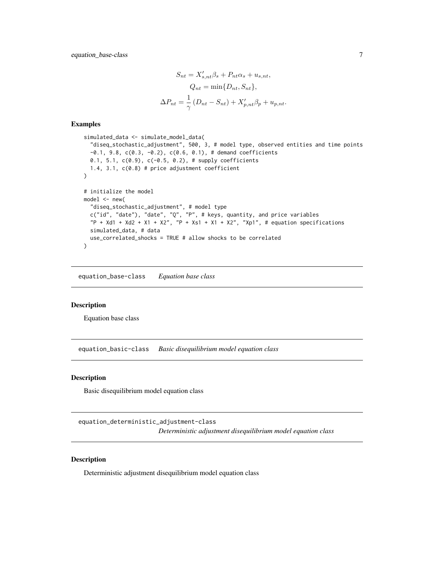<span id="page-6-0"></span>equation\_base-class 7

$$
S_{nt} = X'_{s,nt}\beta_s + P_{nt}\alpha_s + u_{s,nt},
$$

$$
Q_{nt} = \min\{D_{nt}, S_{nt}\},
$$

$$
\Delta P_{nt} = \frac{1}{\gamma} (D_{nt} - S_{nt}) + X'_{p,nt}\beta_p + u_{p,nt}.
$$

# Examples

```
simulated_data <- simulate_model_data(
 "diseq_stochastic_adjustment", 500, 3, # model type, observed entities and time points
 -0.1, 9.8, c(0.3, -0.2), c(0.6, 0.1), # demand coefficients
 0.1, 5.1, c(0.9), c(-0.5, 0.2), # supply coefficients
 1.4, 3.1, c(0.8) # price adjustment coefficient
\lambda# initialize the model
model \leq new("diseq_stochastic_adjustment", # model type
 c("id", "date"), "date", "Q", "P", # keys, quantity, and price variables
 "P + Xd1 + Xd2 + X1 + X2", "P + Xs1 + X1 + X2", "Xp1", # equation specificationssimulated_data, # data
 use_correlated_shocks = TRUE # allow shocks to be correlated
\mathcal{L}
```
equation\_base-class *Equation base class*

#### Description

Equation base class

equation\_basic-class *Basic disequilibrium model equation class*

#### Description

Basic disequilibrium model equation class

equation\_deterministic\_adjustment-class *Deterministic adjustment disequilibrium model equation class*

## Description

Deterministic adjustment disequilibrium model equation class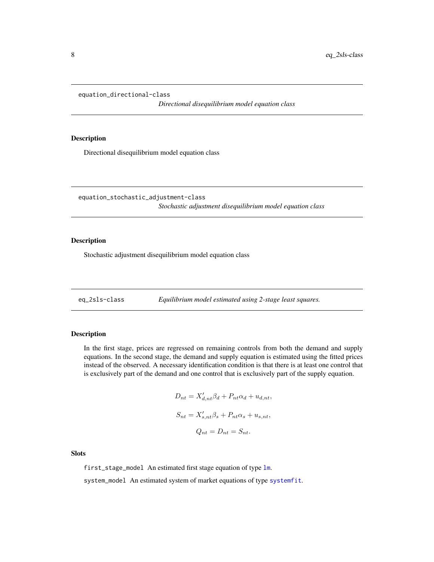```
equation_directional-class
```
*Directional disequilibrium model equation class*

#### Description

Directional disequilibrium model equation class

equation\_stochastic\_adjustment-class *Stochastic adjustment disequilibrium model equation class*

# Description

Stochastic adjustment disequilibrium model equation class

<span id="page-7-1"></span>eq\_2sls-class *Equilibrium model estimated using 2-stage least squares.*

# Description

In the first stage, prices are regressed on remaining controls from both the demand and supply equations. In the second stage, the demand and supply equation is estimated using the fitted prices instead of the observed. A necessary identification condition is that there is at least one control that is exclusively part of the demand and one control that is exclusively part of the supply equation.

$$
D_{nt} = X'_{d,nt} \beta_d + P_{nt} \alpha_d + u_{d,nt},
$$
  
\n
$$
S_{nt} = X'_{s,nt} \beta_s + P_{nt} \alpha_s + u_{s,nt},
$$
  
\n
$$
Q_{nt} = D_{nt} = S_{nt}.
$$

Slots

first\_stage\_model An estimated first stage equation of type [lm](#page-0-0).

system\_model An estimated system of market equations of type [systemfit](#page-0-0).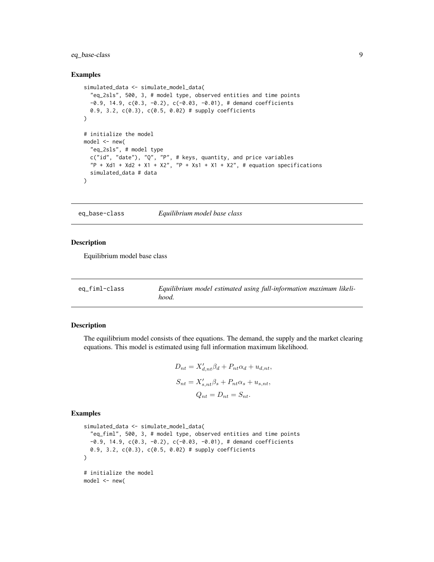# <span id="page-8-0"></span>eq\_base-class 9

#### Examples

```
simulated_data <- simulate_model_data(
  "eq_2sls", 500, 3, # model type, observed entities and time points
  -0.9, 14.9, c(0.3, -0.2), c(-0.03, -0.01), # demand coefficients
  0.9, 3.2, c(0.3), c(0.5, 0.02) # supply coefficients
\lambda# initialize the model
model < - new("eq_2sls", # model type
  c("id", "date"), "Q", "P", # keys, quantity, and price variables
  P + Xd1 + Xd2 + X1 + X2", P + Xs1 + X1 + X2", # equation specifications
  simulated_data # data
)
```
eq\_base-class *Equilibrium model base class*

#### Description

Equilibrium model base class

<span id="page-8-1"></span>

| eq_fiml-class | Equilibrium model estimated using full-information maximum likeli- |
|---------------|--------------------------------------------------------------------|
|               | hood.                                                              |

#### Description

The equilibrium model consists of thee equations. The demand, the supply and the market clearing equations. This model is estimated using full information maximum likelihood.

$$
D_{nt} = X'_{d,nt}\beta_d + P_{nt}\alpha_d + u_{d,nt},
$$
  
\n
$$
S_{nt} = X'_{s,nt}\beta_s + P_{nt}\alpha_s + u_{s,nt},
$$
  
\n
$$
Q_{nt} = D_{nt} = S_{nt}.
$$

```
simulated_data <- simulate_model_data(
  "eq_fiml", 500, 3, # model type, observed entities and time points
  -0.9, 14.9, c(0.3, -0.2), c(-0.03, -0.01), # demand coefficients
  0.9, 3.2, c(0.3), c(0.5, 0.02) # supply coefficients
\lambda# initialize the model
model < - new(
```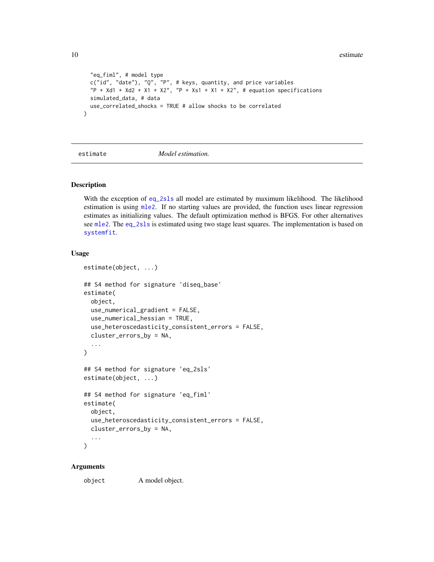```
"eq_fiml", # model type
 c("id", "date"), "Q", "P", # keys, quantity, and price variables
  "P + Xd1 + Xd2 + X1 + X2", "P + Xs1 + X1 + X2", # equation specificationssimulated_data, # data
 use_correlated_shocks = TRUE # allow shocks to be correlated
)
```
estimate *Model estimation.*

# Description

With the exception of [eq\\_2sls](#page-7-1) all model are estimated by maximum likelihood. The likelihood estimation is using [mle2](#page-0-0). If no starting values are provided, the function uses linear regression estimates as initializing values. The default optimization method is BFGS. For other alternatives see [mle2](#page-0-0). The [eq\\_2sls](#page-7-1) is estimated using two stage least squares. The implementation is based on [systemfit](#page-0-0).

# Usage

```
estimate(object, ...)
## S4 method for signature 'diseq_base'
estimate(
 object,
 use_numerical_gradient = FALSE,
 use_numerical_hessian = TRUE,
  use_heteroscedasticity_consistent_errors = FALSE,
  cluster_errors_by = NA,
  ...
\lambda## S4 method for signature 'eq_2sls'
estimate(object, ...)
## S4 method for signature 'eq_fiml'
estimate(
  object,
  use_heteroscedasticity_consistent_errors = FALSE,
  cluster_errors_by = NA,
  ...
)
```
#### Arguments

object A model object.

<span id="page-9-0"></span>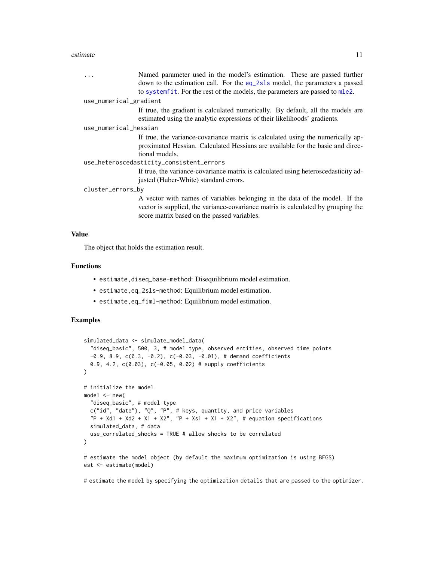#### <span id="page-10-0"></span>estimate 11

|                                          | Named parameter used in the model's estimation. These are passed further<br>down to the estimation call. For the eq_2s1s model, the parameters a passed                                                        |  |
|------------------------------------------|----------------------------------------------------------------------------------------------------------------------------------------------------------------------------------------------------------------|--|
|                                          | to systemfit. For the rest of the models, the parameters are passed to mle2.                                                                                                                                   |  |
| use_numerical_gradient                   |                                                                                                                                                                                                                |  |
|                                          | If true, the gradient is calculated numerically. By default, all the models are<br>estimated using the analytic expressions of their likelihoods' gradients.                                                   |  |
| use_numerical_hessian                    |                                                                                                                                                                                                                |  |
|                                          | If true, the variance-covariance matrix is calculated using the numerically ap-<br>proximated Hessian. Calculated Hessians are available for the basic and direc-<br>tional models.                            |  |
| use_heteroscedasticity_consistent_errors |                                                                                                                                                                                                                |  |
|                                          | If true, the variance-covariance matrix is calculated using heteroscedasticity ad-<br>justed (Huber-White) standard errors.                                                                                    |  |
| cluster_errors_by                        |                                                                                                                                                                                                                |  |
|                                          | A vector with names of variables belonging in the data of the model. If the<br>vector is supplied, the variance-covariance matrix is calculated by grouping the<br>score matrix based on the passed variables. |  |

#### Value

The object that holds the estimation result.

#### Functions

- estimate,diseq\_base-method: Disequilibrium model estimation.
- estimate,eq\_2sls-method: Equilibrium model estimation.
- estimate,eq\_fiml-method: Equilibrium model estimation.

# Examples

```
simulated_data <- simulate_model_data(
  "diseq_basic", 500, 3, # model type, observed entities, observed time points
  -0.9, 8.9, c(0.3, -0.2), c(-0.03, -0.01),# demand coefficients
  0.9, 4.2, c(0.03), c(-0.05, 0.02) # supply coefficients
)
# initialize the model
model < - new("diseq_basic", # model type
  c("id", "date"), "Q", "P", # keys, quantity, and price variables
  P + Xd1 + Xd2 + X1 + X2", P + Xs1 + X1 + X2", # equation specifications
  simulated_data, # data
  use_correlated_shocks = TRUE # allow shocks to be correlated
)
# estimate the model object (by default the maximum optimization is using BFGS)
est <- estimate(model)
```
# estimate the model by specifying the optimization details that are passed to the optimizer.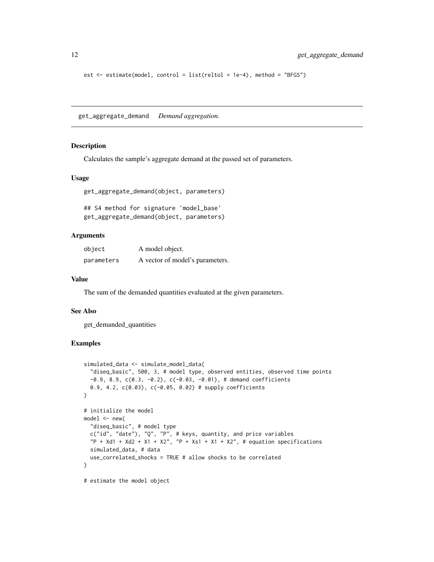```
est <- estimate(model, control = list(reltol = 1e-4), method = "BFGS")
```
get\_aggregate\_demand *Demand aggregation.*

#### Description

Calculates the sample's aggregate demand at the passed set of parameters.

# Usage

```
get_aggregate_demand(object, parameters)
```
## S4 method for signature 'model\_base' get\_aggregate\_demand(object, parameters)

## Arguments

| object     | A model object.                 |
|------------|---------------------------------|
| parameters | A vector of model's parameters. |

#### Value

The sum of the demanded quantities evaluated at the given parameters.

#### See Also

get\_demanded\_quantities

```
simulated_data <- simulate_model_data(
  "diseq_basic", 500, 3, # model type, observed entities, observed time points
  -0.9, 8.9, c(0.3, -0.2), c(-0.03, -0.01), \# demand coefficients0.9, 4.2, c(0.03), c(-0.05, 0.02) # supply coefficients
)
# initialize the model
model < - new("diseq_basic", # model type
  c("id", "date"), "Q", "P", # keys, quantity, and price variables
  P + Xd1 + Xd2 + X1 + X2", "P + Xs1 + X1 + X2", # equation specifications
  simulated_data, # data
  use_correlated_shocks = TRUE # allow shocks to be correlated
)
# estimate the model object
```
<span id="page-11-0"></span>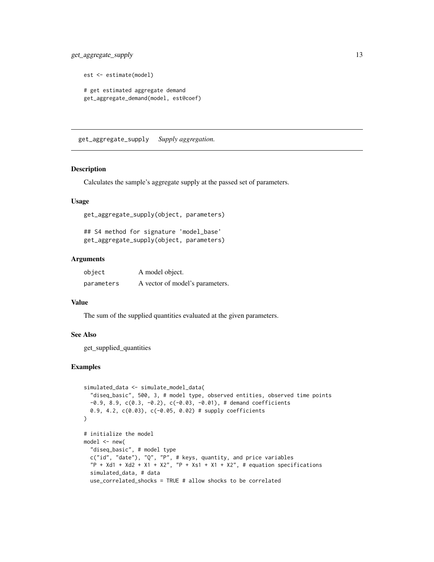```
est <- estimate(model)
# get estimated aggregate demand
get_aggregate_demand(model, est@coef)
```
get\_aggregate\_supply *Supply aggregation.*

# Description

Calculates the sample's aggregate supply at the passed set of parameters.

# Usage

get\_aggregate\_supply(object, parameters)

## S4 method for signature 'model\_base' get\_aggregate\_supply(object, parameters)

# Arguments

| object     | A model object.                 |
|------------|---------------------------------|
| parameters | A vector of model's parameters. |

# Value

The sum of the supplied quantities evaluated at the given parameters.

# See Also

get\_supplied\_quantities

```
simulated_data <- simulate_model_data(
  "diseq_basic", 500, 3, # model type, observed entities, observed time points
  -0.9, 8.9, c(0.3, -0.2), c(-0.03, -0.01),# demand coefficients
  0.9, 4.2, c(0.03), c(-0.05, 0.02) # supply coefficients
\lambda# initialize the model
model \leq new("diseq_basic", # model type
  c("id", "date"), "Q", "P", # keys, quantity, and price variables
  "P + Xd1 + Xd2 + X1 + X2", "P + Xs1 + X1 + X2", # equation specificationssimulated_data, # data
  use_correlated_shocks = TRUE # allow shocks to be correlated
```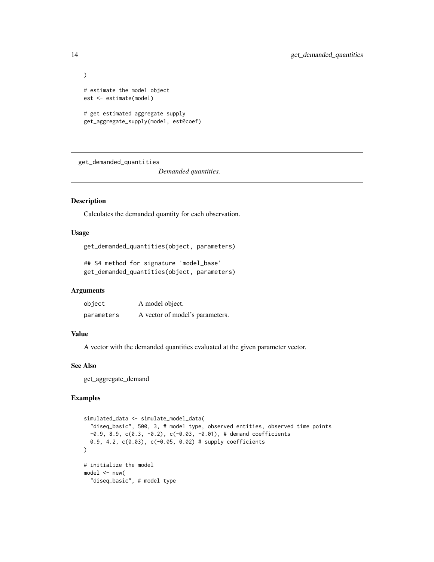```
)
# estimate the model object
est <- estimate(model)
# get estimated aggregate supply
get_aggregate_supply(model, est@coef)
```
get\_demanded\_quantities

*Demanded quantities.*

# Description

Calculates the demanded quantity for each observation.

#### Usage

get\_demanded\_quantities(object, parameters)

## S4 method for signature 'model\_base' get\_demanded\_quantities(object, parameters)

#### Arguments

| object     | A model object.                 |
|------------|---------------------------------|
| parameters | A vector of model's parameters. |

# Value

A vector with the demanded quantities evaluated at the given parameter vector.

# See Also

get\_aggregate\_demand

```
simulated_data <- simulate_model_data(
  "diseq_basic", 500, 3, # model type, observed entities, observed time points
  -0.9, 8.9, c(0.3, -0.2), c(-0.03, -0.01), \# demand coefficients0.9, 4.2, c(0.03), c(-0.05, 0.02) # supply coefficients
)
# initialize the model
model <- new(
  "diseq_basic", # model type
```
<span id="page-13-0"></span>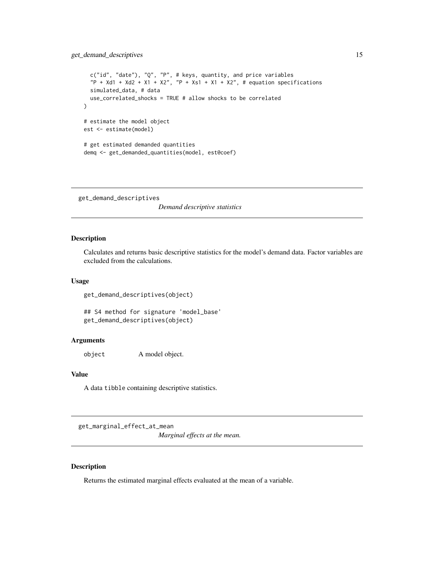# <span id="page-14-0"></span>get\_demand\_descriptives 15

```
c("id", "date"), "Q", "P", # keys, quantity, and price variables
 "P + Xd1 + Xd2 + X1 + X2", "P + Xs1 + X1 + X2", # equation specificationssimulated_data, # data
 use_correlated_shocks = TRUE # allow shocks to be correlated
)
# estimate the model object
est <- estimate(model)
# get estimated demanded quantities
demq <- get_demanded_quantities(model, est@coef)
```
get\_demand\_descriptives

*Demand descriptive statistics*

# Description

Calculates and returns basic descriptive statistics for the model's demand data. Factor variables are excluded from the calculations.

#### Usage

get\_demand\_descriptives(object)

## S4 method for signature 'model\_base' get\_demand\_descriptives(object)

# Arguments

object A model object.

# Value

A data tibble containing descriptive statistics.

get\_marginal\_effect\_at\_mean

*Marginal effects at the mean.*

# Description

Returns the estimated marginal effects evaluated at the mean of a variable.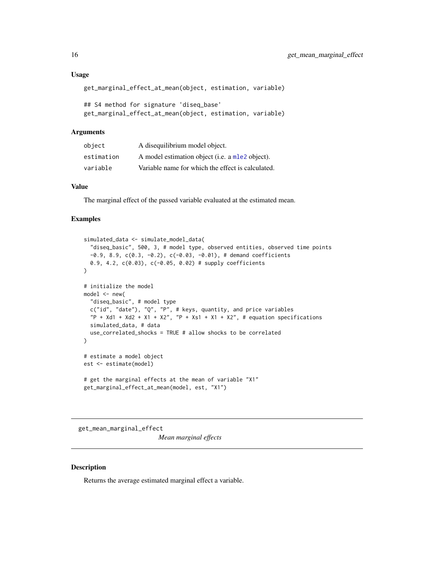# <span id="page-15-0"></span>Usage

```
get_marginal_effect_at_mean(object, estimation, variable)
```

```
## S4 method for signature 'diseq_base'
get_marginal_effect_at_mean(object, estimation, variable)
```
# Arguments

| object     | A disequilibrium model object.                    |
|------------|---------------------------------------------------|
| estimation | A model estimation object (i.e. a mle2 object).   |
| variable   | Variable name for which the effect is calculated. |

# Value

The marginal effect of the passed variable evaluated at the estimated mean.

#### Examples

```
simulated_data <- simulate_model_data(
  "diseq_basic", 500, 3, # model type, observed entities, observed time points
  -0.9, 8.9, c(0.3, -0.2), c(-0.03, -0.01),# demand coefficients
  0.9, 4.2, c(0.03), c(-0.05, 0.02) # supply coefficients
)
# initialize the model
model < - new("diseq_basic", # model type
  c("id", "date"), "Q", "P", # keys, quantity, and price variables
  "P + Xd1 + Xd2 + X1 + X2", "P + Xs1 + X1 + X2", # equation specificationssimulated_data, # data
  use_correlated_shocks = TRUE # allow shocks to be correlated
)
# estimate a model object
est <- estimate(model)
# get the marginal effects at the mean of variable "X1"
get_marginal_effect_at_mean(model, est, "X1")
```
get\_mean\_marginal\_effect

*Mean marginal effects*

# Description

Returns the average estimated marginal effect a variable.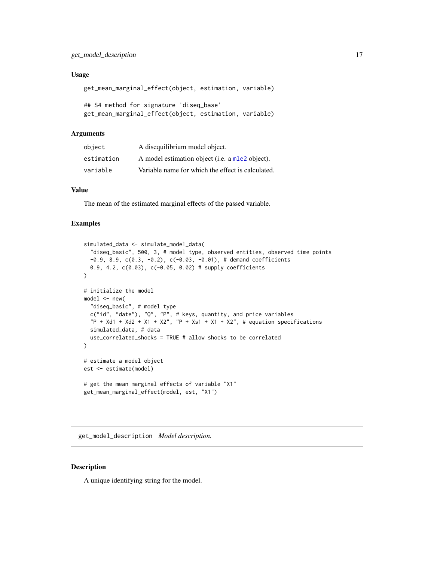# <span id="page-16-0"></span>Usage

get\_mean\_marginal\_effect(object, estimation, variable)

```
## S4 method for signature 'diseq_base'
get_mean_marginal_effect(object, estimation, variable)
```
# Arguments

| object     | A disequilibrium model object.                    |
|------------|---------------------------------------------------|
| estimation | A model estimation object (i.e. a mle2 object).   |
| variable   | Variable name for which the effect is calculated. |

# Value

The mean of the estimated marginal effects of the passed variable.

# Examples

```
simulated_data <- simulate_model_data(
  "diseq_basic", 500, 3, # model type, observed entities, observed time points
  -0.9, 8.9, c(0.3, -0.2), c(-0.03, -0.01), \# demand coefficients0.9, 4.2, c(0.03), c(-0.05, 0.02) # supply coefficients
)
# initialize the model
model < - new("diseq_basic", # model type
  c("id", "date"), "Q", "P", # keys, quantity, and price variables
  P + Xd1 + Xd2 + X1 + X2'', P + Xs1 + X1 + X2'', \# equation specifications
  simulated_data, # data
  use_correlated_shocks = TRUE # allow shocks to be correlated
)
# estimate a model object
est <- estimate(model)
# get the mean marginal effects of variable "X1"
get_mean_marginal_effect(model, est, "X1")
```
get\_model\_description *Model description.*

#### Description

A unique identifying string for the model.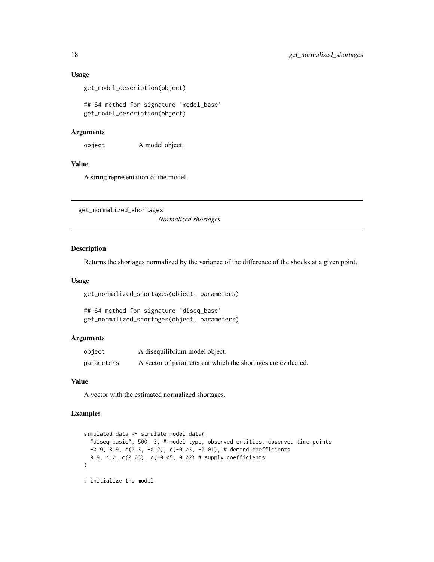# Usage

```
get_model_description(object)
```
## S4 method for signature 'model\_base' get\_model\_description(object)

#### Arguments

object A model object.

# Value

A string representation of the model.

get\_normalized\_shortages

*Normalized shortages.*

#### Description

Returns the shortages normalized by the variance of the difference of the shocks at a given point.

#### Usage

get\_normalized\_shortages(object, parameters)

```
## S4 method for signature 'diseq_base'
get_normalized_shortages(object, parameters)
```
#### Arguments

| object     | A disequilibrium model object.                               |
|------------|--------------------------------------------------------------|
| parameters | A vector of parameters at which the shortages are evaluated. |

# Value

A vector with the estimated normalized shortages.

```
simulated_data <- simulate_model_data(
 "diseq_basic", 500, 3, # model type, observed entities, observed time points
 -0.9, 8.9, c(0.3, -0.2), c(-0.03, -0.01), \# demand coefficients
 0.9, 4.2, c(0.03), c(-0.05, 0.02) # supply coefficients
\mathcal{L}# initialize the model
```
<span id="page-17-0"></span>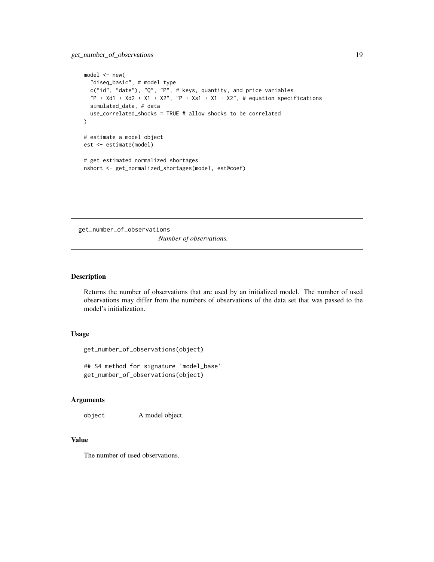```
model \leq -new("diseq_basic", # model type
  c("id", "date"), "Q", "P", # keys, quantity, and price variables
  P + Xd1 + Xd2 + X1 + X2'', P + Xs1 + X1 + X2'', \# equation specifications
  simulated_data, # data
  use_correlated_shocks = TRUE # allow shocks to be correlated
)
# estimate a model object
est <- estimate(model)
# get estimated normalized shortages
nshort <- get_normalized_shortages(model, est@coef)
```
get\_number\_of\_observations *Number of observations.*

# Description

Returns the number of observations that are used by an initialized model. The number of used observations may differ from the numbers of observations of the data set that was passed to the model's initialization.

# Usage

get\_number\_of\_observations(object)

## S4 method for signature 'model\_base' get\_number\_of\_observations(object)

# Arguments

object A model object.

#### Value

The number of used observations.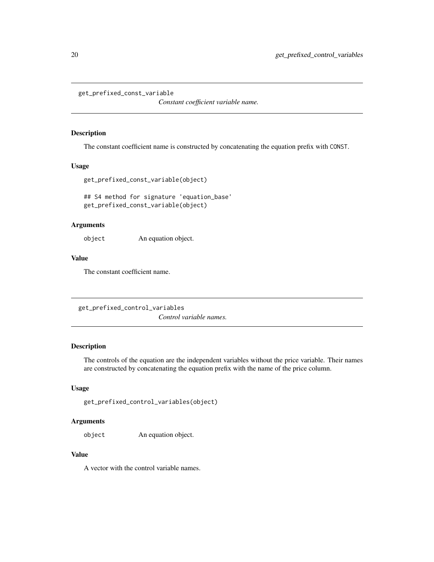<span id="page-19-0"></span>get\_prefixed\_const\_variable

*Constant coefficient variable name.*

# Description

The constant coefficient name is constructed by concatenating the equation prefix with CONST.

# Usage

```
get_prefixed_const_variable(object)
```
## S4 method for signature 'equation\_base' get\_prefixed\_const\_variable(object)

# Arguments

object An equation object.

# Value

The constant coefficient name.

get\_prefixed\_control\_variables *Control variable names.*

# Description

The controls of the equation are the independent variables without the price variable. Their names are constructed by concatenating the equation prefix with the name of the price column.

#### Usage

```
get_prefixed_control_variables(object)
```
# Arguments

object An equation object.

# Value

A vector with the control variable names.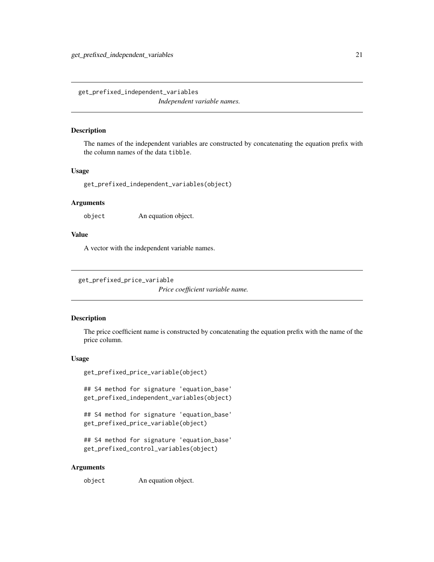<span id="page-20-0"></span>get\_prefixed\_independent\_variables *Independent variable names.*

# Description

The names of the independent variables are constructed by concatenating the equation prefix with the column names of the data tibble.

#### Usage

get\_prefixed\_independent\_variables(object)

# Arguments

object An equation object.

# Value

A vector with the independent variable names.

get\_prefixed\_price\_variable

*Price coefficient variable name.*

### Description

The price coefficient name is constructed by concatenating the equation prefix with the name of the price column.

#### Usage

```
get_prefixed_price_variable(object)
```
## S4 method for signature 'equation\_base' get\_prefixed\_independent\_variables(object)

## S4 method for signature 'equation\_base' get\_prefixed\_price\_variable(object)

```
## S4 method for signature 'equation_base'
get_prefixed_control_variables(object)
```
#### Arguments

object An equation object.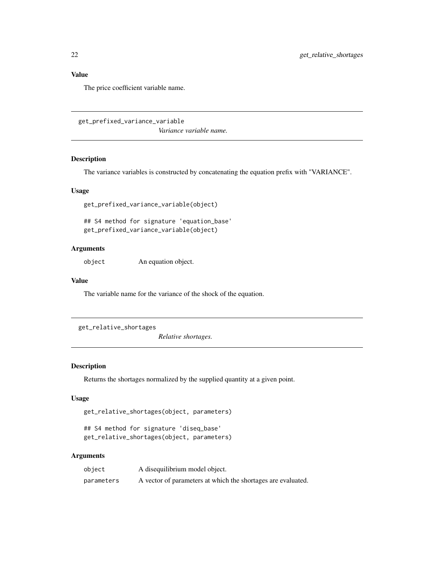The price coefficient variable name.

get\_prefixed\_variance\_variable *Variance variable name.*

#### Description

The variance variables is constructed by concatenating the equation prefix with "VARIANCE".

# Usage

get\_prefixed\_variance\_variable(object)

## S4 method for signature 'equation\_base' get\_prefixed\_variance\_variable(object)

# Arguments

object An equation object.

# Value

The variable name for the variance of the shock of the equation.

get\_relative\_shortages

*Relative shortages.*

# Description

Returns the shortages normalized by the supplied quantity at a given point.

# Usage

get\_relative\_shortages(object, parameters)

```
## S4 method for signature 'diseq_base'
get_relative_shortages(object, parameters)
```

| object     | A disequilibrium model object.                               |
|------------|--------------------------------------------------------------|
| parameters | A vector of parameters at which the shortages are evaluated. |

<span id="page-21-0"></span>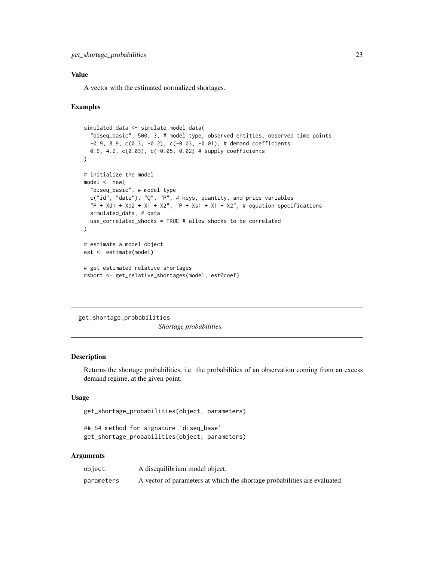<span id="page-22-0"></span>A vector with the estimated normalized shortages.

# Examples

```
simulated_data <- simulate_model_data(
  "diseq_basic", 500, 3, # model type, observed entities, observed time points
  -0.9, 8.9, c(0.3, -0.2), c(-0.03, -0.01),# demand coefficients
  0.9, 4.2, c(0.03), c(-0.05, 0.02) # supply coefficients
\lambda# initialize the model
model < - new("diseq_basic", # model type
  c("id", "date"), "Q", "P", # keys, quantity, and price variables
  "P + Xd1 + Xd2 + X1 + X2", "P + Xs1 + X1 + X2", # equation specificationssimulated_data, # data
  use_correlated_shocks = TRUE # allow shocks to be correlated
)
# estimate a model object
est <- estimate(model)
# get estimated relative shortages
rshort <- get_relative_shortages(model, est@coef)
```
get\_shortage\_probabilities *Shortage probabilities.*

# Description

Returns the shortage probabilities, i.e. the probabilities of an observation coming from an excess demand regime, at the given point.

# Usage

```
get_shortage_probabilities(object, parameters)
```

```
## S4 method for signature 'diseq_base'
get_shortage_probabilities(object, parameters)
```

| object     | A disequilibrium model object.                                            |
|------------|---------------------------------------------------------------------------|
| parameters | A vector of parameters at which the shortage probabilities are evaluated. |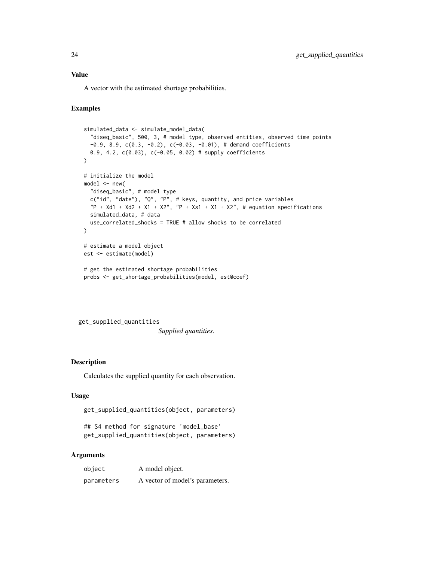<span id="page-23-0"></span>A vector with the estimated shortage probabilities.

# Examples

```
simulated_data <- simulate_model_data(
  "diseq_basic", 500, 3, # model type, observed entities, observed time points
  -0.9, 8.9, c(0.3, -0.2), c(-0.03, -0.01),# demand coefficients
  0.9, 4.2, c(0.03), c(-0.05, 0.02) # supply coefficients
\mathcal{L}# initialize the model
model < - new("diseq_basic", # model type
  c("id", "date"), "Q", "P", # keys, quantity, and price variables
  "P + Xd1 + Xd2 + X1 + X2", "P + Xs1 + X1 + X2", # equation specificationssimulated_data, # data
  use_correlated_shocks = TRUE # allow shocks to be correlated
)
# estimate a model object
est <- estimate(model)
# get the estimated shortage probabilities
probs <- get_shortage_probabilities(model, est@coef)
```
get\_supplied\_quantities *Supplied quantities.*

# Description

Calculates the supplied quantity for each observation.

# Usage

```
get_supplied_quantities(object, parameters)
```

```
## S4 method for signature 'model_base'
get_supplied_quantities(object, parameters)
```

| object     | A model object.                 |
|------------|---------------------------------|
| parameters | A vector of model's parameters. |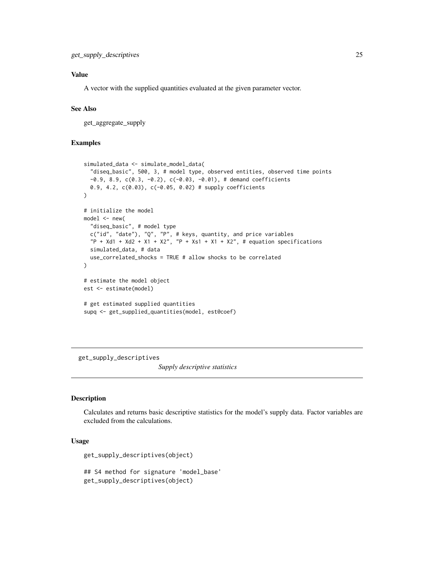<span id="page-24-0"></span>A vector with the supplied quantities evaluated at the given parameter vector.

# See Also

get\_aggregate\_supply

# Examples

```
simulated_data <- simulate_model_data(
  "diseq_basic", 500, 3, # model type, observed entities, observed time points
  -0.9, 8.9, c(0.3, -0.2), c(-0.03, -0.01),# demand coefficients
  0.9, 4.2, c(0.03), c(-0.05, 0.02) # supply coefficients
\lambda# initialize the model
model <- new(
  "diseq_basic", # model type
  c("id", "date"), "Q", "P", # keys, quantity, and price variables
  "P + Xd1 + Xd2 + X1 + X2", "P + Xs1 + X1 + X2", # equation specificationssimulated_data, # data
  use_correlated_shocks = TRUE # allow shocks to be correlated
\mathcal{L}# estimate the model object
est <- estimate(model)
# get estimated supplied quantities
supq <- get_supplied_quantities(model, est@coef)
```
get\_supply\_descriptives

*Supply descriptive statistics*

# Description

Calculates and returns basic descriptive statistics for the model's supply data. Factor variables are excluded from the calculations.

# Usage

```
get_supply_descriptives(object)
```
## S4 method for signature 'model\_base' get\_supply\_descriptives(object)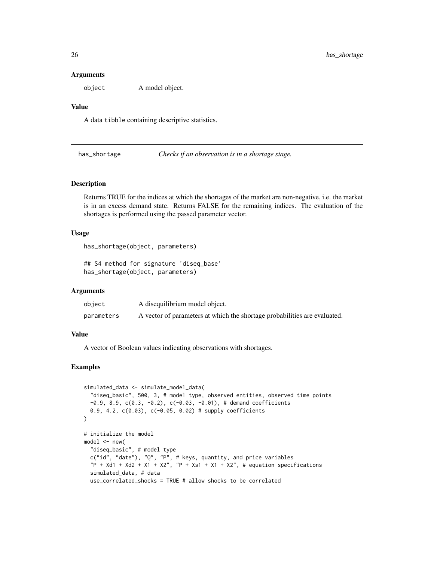#### **Arguments**

object A model object.

#### Value

A data tibble containing descriptive statistics.

has\_shortage *Checks if an observation is in a shortage stage.*

# Description

Returns TRUE for the indices at which the shortages of the market are non-negative, i.e. the market is in an excess demand state. Returns FALSE for the remaining indices. The evaluation of the shortages is performed using the passed parameter vector.

#### Usage

```
has_shortage(object, parameters)
```
## S4 method for signature 'diseq\_base' has\_shortage(object, parameters)

# **Arguments**

| object     | A disequilibrium model object.                                            |
|------------|---------------------------------------------------------------------------|
| parameters | A vector of parameters at which the shortage probabilities are evaluated. |

#### Value

A vector of Boolean values indicating observations with shortages.

```
simulated_data <- simulate_model_data(
 "diseq_basic", 500, 3, # model type, observed entities, observed time points
 -0.9, 8.9, c(0.3, -0.2), c(-0.03, -0.01),# demand coefficients
 0.9, 4.2, c(0.03), c(-0.05, 0.02) # supply coefficients
\mathcal{L}# initialize the model
model \leq new("diseq_basic", # model type
 c("id", "date"), "Q", "P", # keys, quantity, and price variables
  "P + Xd1 + Xd2 + X1 + X2", "P + Xs1 + X1 + X2", # equation specificationssimulated_data, # data
 use_correlated_shocks = TRUE # allow shocks to be correlated
```
<span id="page-25-0"></span>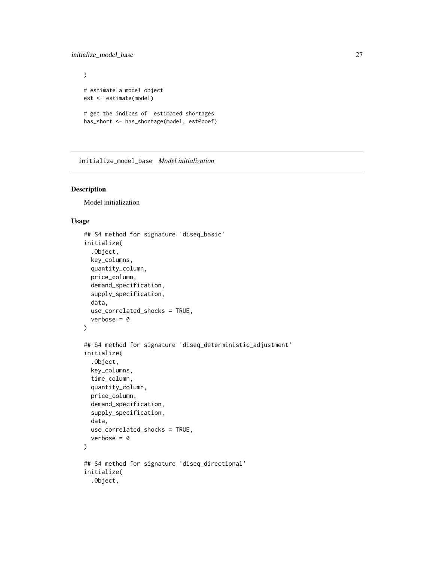# <span id="page-26-0"></span>initialize\_model\_base 27

```
\mathcal{L}# estimate a model object
est <- estimate(model)
# get the indices of estimated shortages
has_short <- has_shortage(model, est@coef)
```
initialize\_model\_base *Model initialization*

# Description

Model initialization

# Usage

```
## S4 method for signature 'diseq_basic'
initialize(
  .Object,
 key_columns,
  quantity_column,
  price_column,
  demand_specification,
  supply_specification,
 data,
 use_correlated_shocks = TRUE,
 verbose = 0)
## S4 method for signature 'diseq_deterministic_adjustment'
initialize(
  .Object,
  key_columns,
  time_column,
  quantity_column,
 price_column,
  demand_specification,
  supply_specification,
  data,
 use_correlated_shocks = TRUE,
  verbose = \theta)
## S4 method for signature 'diseq_directional'
initialize(
  .Object,
```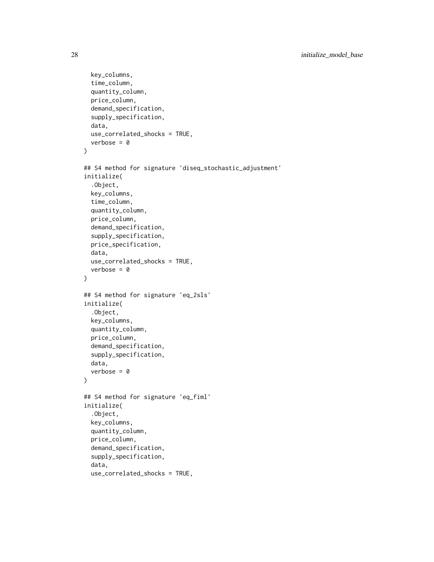```
key_columns,
  time_column,
  quantity_column,
 price_column,
  demand_specification,
  supply_specification,
  data,
 use_correlated_shocks = TRUE,
  verbose = \theta)
## S4 method for signature 'diseq_stochastic_adjustment'
initialize(
  .Object,
 key_columns,
  time_column,
  quantity_column,
 price_column,
  demand_specification,
  supply_specification,
 price_specification,
  data,
 use_correlated_shocks = TRUE,
  verbose = \theta\lambda## S4 method for signature 'eq_2sls'
initialize(
  .Object,
 key_columns,
  quantity_column,
 price_column,
  demand_specification,
  supply_specification,
 data,
  verbose = \theta)
## S4 method for signature 'eq_fiml'
initialize(
  .Object,
  key_columns,
  quantity_column,
  price_column,
  demand_specification,
  supply_specification,
  data,
  use_correlated_shocks = TRUE,
```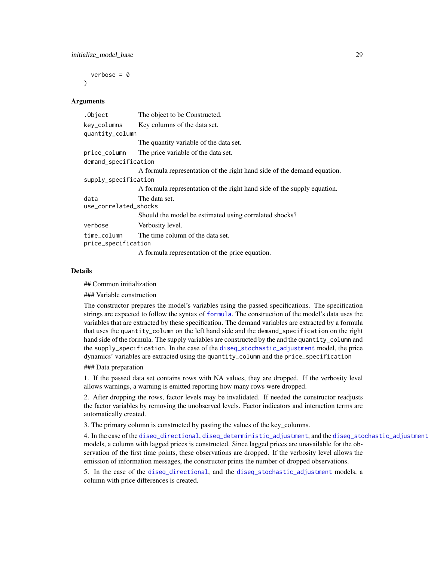<span id="page-28-0"></span>verbose =  $\theta$ 

#### **Arguments**

 $\lambda$ 

| .Object                            | The object to be Constructed.                                           |  |
|------------------------------------|-------------------------------------------------------------------------|--|
| key_columns<br>quantity_column     | Key columns of the data set.                                            |  |
|                                    | The quantity variable of the data set.                                  |  |
| price_column                       | The price variable of the data set.                                     |  |
| demand_specification               |                                                                         |  |
|                                    | A formula representation of the right hand side of the demand equation. |  |
| supply_specification               |                                                                         |  |
|                                    | A formula representation of the right hand side of the supply equation. |  |
| data<br>use_correlated_shocks      | The data set.                                                           |  |
|                                    | Should the model be estimated using correlated shocks?                  |  |
| verbose                            | Verbosity level.                                                        |  |
| time_column<br>price_specification | The time column of the data set.                                        |  |
|                                    | A formula representation of the price equation.                         |  |

#### Details

## Common initialization

### Variable construction

The constructor prepares the model's variables using the passed specifications. The specification strings are expected to follow the syntax of [formula](#page-0-0). The construction of the model's data uses the variables that are extracted by these specification. The demand variables are extracted by a formula that uses the quantity\_column on the left hand side and the demand\_specification on the right hand side of the formula. The supply variables are constructed by the and the quantity\_column and the supply\_specification. In the case of the [diseq\\_stochastic\\_adjustment](#page-5-1) model, the price dynamics' variables are extracted using the quantity\_column and the price\_specification

#### ### Data preparation

1. If the passed data set contains rows with NA values, they are dropped. If the verbosity level allows warnings, a warning is emitted reporting how many rows were dropped.

2. After dropping the rows, factor levels may be invalidated. If needed the constructor readjusts the factor variables by removing the unobserved levels. Factor indicators and interaction terms are automatically created.

3. The primary column is constructed by pasting the values of the key\_columns.

4. In the case of the [diseq\\_directional](#page-4-1), [diseq\\_deterministic\\_adjustment](#page-4-2), and the [diseq\\_stochastic\\_adjustment](#page-5-1) models, a column with lagged prices is constructed. Since lagged prices are unavailable for the observation of the first time points, these observations are dropped. If the verbosity level allows the emission of information messages, the constructor prints the number of dropped observations.

5. In the case of the [diseq\\_directional](#page-4-1), and the [diseq\\_stochastic\\_adjustment](#page-5-1) models, a column with price differences is created.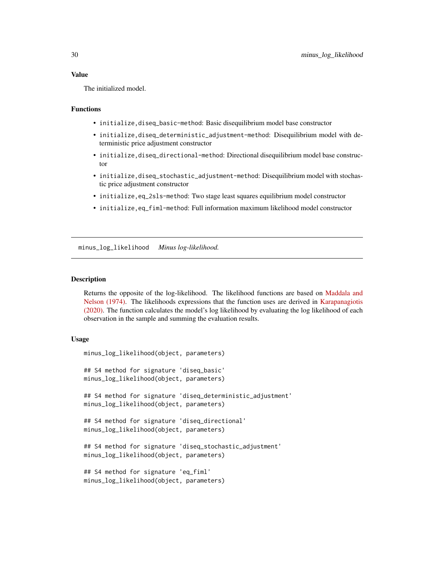<span id="page-29-0"></span>The initialized model.

# Functions

- initialize, diseq\_basic-method: Basic disequilibrium model base constructor
- initialize,diseq\_deterministic\_adjustment-method: Disequilibrium model with deterministic price adjustment constructor
- initialize, diseq\_directional-method: Directional disequilibrium model base constructor
- initialize,diseq\_stochastic\_adjustment-method: Disequilibrium model with stochastic price adjustment constructor
- initialize,eq\_2sls-method: Two stage least squares equilibrium model constructor
- initialize,eq\_fiml-method: Full information maximum likelihood model constructor

minus\_log\_likelihood *Minus log-likelihood.*

#### **Description**

Returns the opposite of the log-likelihood. The likelihood functions are based on [Maddala and](https://doi.org/10.2307/1914215) [Nelson \(1974\).](https://doi.org/10.2307/1914215) The likelihoods expressions that the function uses are derived in [Karapanagiotis](https://dx.doi.org/10.2139/ssrn.3525622) [\(2020\).](https://dx.doi.org/10.2139/ssrn.3525622) The function calculates the model's log likelihood by evaluating the log likelihood of each observation in the sample and summing the evaluation results.

#### Usage

```
minus_log_likelihood(object, parameters)
## S4 method for signature 'diseq_basic'
minus_log_likelihood(object, parameters)
## S4 method for signature 'diseq_deterministic_adjustment'
minus_log_likelihood(object, parameters)
## S4 method for signature 'diseq_directional'
minus_log_likelihood(object, parameters)
## S4 method for signature 'diseq_stochastic_adjustment'
minus_log_likelihood(object, parameters)
## S4 method for signature 'eq_fiml'
minus_log_likelihood(object, parameters)
```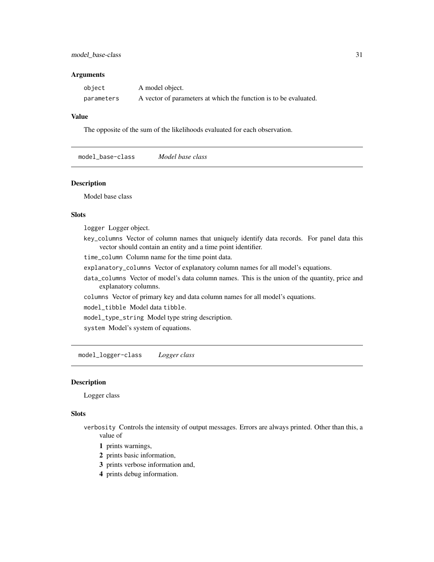# <span id="page-30-0"></span>model\_base-class 31

#### **Arguments**

| object     | A model object.                                                  |
|------------|------------------------------------------------------------------|
| parameters | A vector of parameters at which the function is to be evaluated. |

# Value

The opposite of the sum of the likelihoods evaluated for each observation.

model\_base-class *Model base class*

# Description

Model base class

# Slots

logger Logger object.

key\_columns Vector of column names that uniquely identify data records. For panel data this vector should contain an entity and a time point identifier.

time\_column Column name for the time point data.

- explanatory\_columns Vector of explanatory column names for all model's equations.
- data\_columns Vector of model's data column names. This is the union of the quantity, price and explanatory columns.
- columns Vector of primary key and data column names for all model's equations.

model\_tibble Model data tibble.

model\_type\_string Model type string description.

system Model's system of equations.

model\_logger-class *Logger class*

# Description

Logger class

#### Slots

- verbosity Controls the intensity of output messages. Errors are always printed. Other than this, a value of
	- 1 prints warnings,
	- 2 prints basic information,
	- 3 prints verbose information and,
	- 4 prints debug information.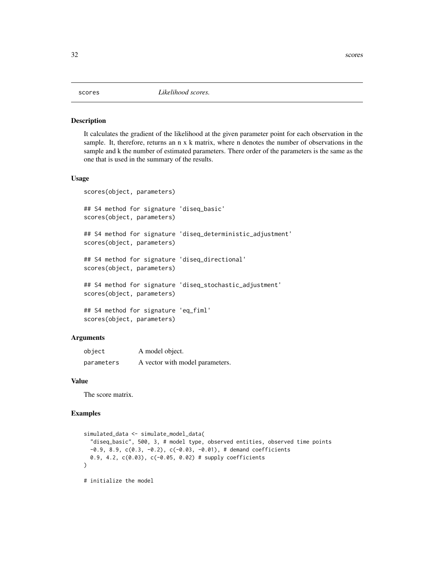# <span id="page-31-0"></span>Description

It calculates the gradient of the likelihood at the given parameter point for each observation in the sample. It, therefore, returns an n x k matrix, where n denotes the number of observations in the sample and k the number of estimated parameters. There order of the parameters is the same as the one that is used in the summary of the results.

# Usage

```
scores(object, parameters)
## S4 method for signature 'diseq_basic'
scores(object, parameters)
## S4 method for signature 'diseq_deterministic_adjustment'
scores(object, parameters)
## S4 method for signature 'diseq_directional'
scores(object, parameters)
## S4 method for signature 'diseq_stochastic_adjustment'
scores(object, parameters)
## S4 method for signature 'eq_fiml'
scores(object, parameters)
```
# Arguments

| object     | A model object.                 |
|------------|---------------------------------|
| parameters | A vector with model parameters. |

#### Value

The score matrix.

```
simulated_data <- simulate_model_data(
  "diseq_basic", 500, 3, # model type, observed entities, observed time points
 -0.9, 8.9, c(0.3, -0.2), c(-0.03, -0.01), \# demand coefficients
 0.9, 4.2, c(0.03), c(-0.05, 0.02) # supply coefficients
\mathcal{L}# initialize the model
```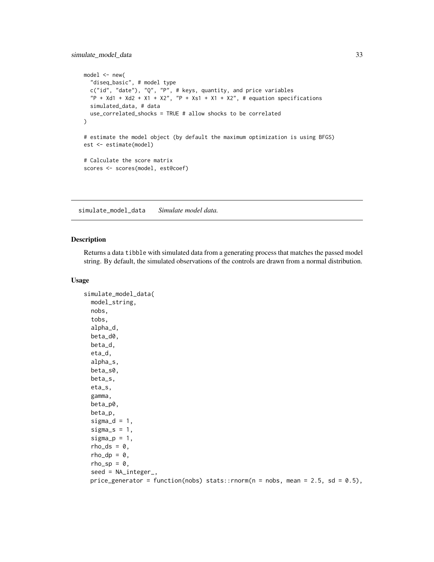```
model \leq -new("diseq_basic", # model type
  c("id", "date"), "Q", "P", # keys, quantity, and price variables
  P + Xd1 + Xd2 + X1 + X2'', P + Xs1 + X1 + X2'', \# equation specifications
  simulated_data, # data
  use_correlated_shocks = TRUE # allow shocks to be correlated
)
# estimate the model object (by default the maximum optimization is using BFGS)
est <- estimate(model)
# Calculate the score matrix
scores <- scores(model, est@coef)
```
simulate\_model\_data *Simulate model data.*

### Description

Returns a data tibble with simulated data from a generating process that matches the passed model string. By default, the simulated observations of the controls are drawn from a normal distribution.

#### Usage

```
simulate_model_data(
 model_string,
  nobs,
  tobs,
  alpha_d,
  beta_d0,
 beta_d,
  eta_d,
  alpha_s,
  beta_s0,
 beta_s,
  eta_s,
  gamma,
  beta_p0,
 beta_p,
  signal = 1,signa_s = 1,
  sigma_p = 1,
  rho_ds = 0,
  rho_d = \theta,
  rho_sp = 0,
  seed = NA_integer_,
 price_generator = function(nobs) stats::rnorm(n = nobs, mean = 2.5, sd = 0.5),
```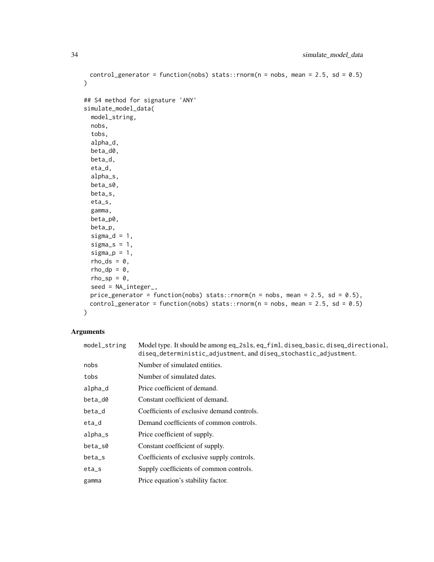```
control_generator = function(nobs) stats::rnorm(n = nobs, mean = 2.5, sd = 0.5)
\mathcal{L}## S4 method for signature 'ANY'
simulate_model_data(
 model_string,
 nobs,
  tobs,
 alpha_d,
 beta_d0,
 beta_d,
 eta_d,
 alpha_s,
 beta_s0,
 beta_s,
 eta_s,
  gamma,
 beta_p0,
 beta_p,
  signal = 1,signa_s = 1,
  signa_p = 1,
  rho_d s = 0,
  rho_d = \theta,
 rho_sp = 0,
 seed = NA_integer_,
 price_generator = function(nobs) stats::rnorm(n = nobs, mean = 2.5, sd = 0.5),
 control_generator = function(nobs) stats::rnorm(n = nobs, mean = 2.5, sd = 0.5)
\mathcal{L}
```

| model_string | Model type. It should be among eq_2s1s, eq_fiml, diseq_basic, diseq_directional,<br>diseq_deterministic_adjustment, and diseq_stochastic_adjustment. |
|--------------|------------------------------------------------------------------------------------------------------------------------------------------------------|
| nobs         | Number of simulated entities.                                                                                                                        |
| tobs         | Number of simulated dates.                                                                                                                           |
| alpha_d      | Price coefficient of demand.                                                                                                                         |
| beta_d0      | Constant coefficient of demand.                                                                                                                      |
| beta_d       | Coefficients of exclusive demand controls.                                                                                                           |
| eta_d        | Demand coefficients of common controls.                                                                                                              |
| alpha_s      | Price coefficient of supply.                                                                                                                         |
| beta_s0      | Constant coefficient of supply.                                                                                                                      |
| beta_s       | Coefficients of exclusive supply controls.                                                                                                           |
| $eta_s$      | Supply coefficients of common controls.                                                                                                              |
| gamma        | Price equation's stability factor.                                                                                                                   |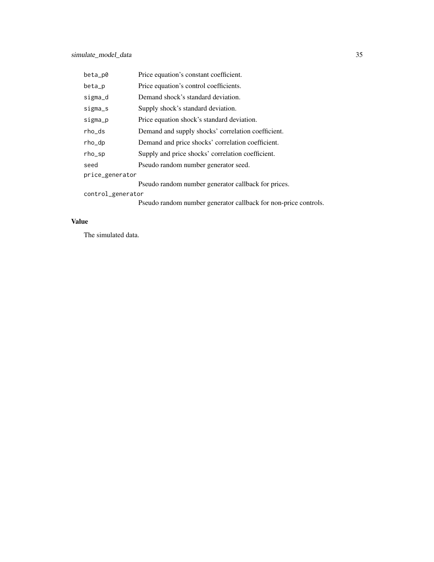| beta_p0           | Price equation's constant coefficient.              |  |
|-------------------|-----------------------------------------------------|--|
| beta_p            | Price equation's control coefficients.              |  |
| sigma_d           | Demand shock's standard deviation.                  |  |
| sigma_s           | Supply shock's standard deviation.                  |  |
| sigma_p           | Price equation shock's standard deviation.          |  |
| rho_ds            | Demand and supply shocks' correlation coefficient.  |  |
| rho_dp            | Demand and price shocks' correlation coefficient.   |  |
| rho_sp            | Supply and price shocks' correlation coefficient.   |  |
| seed              | Pseudo random number generator seed.                |  |
| price_generator   |                                                     |  |
|                   | Pseudo random number generator callback for prices. |  |
| control_generator |                                                     |  |

Pseudo random number generator callback for non-price controls.

# Value

The simulated data.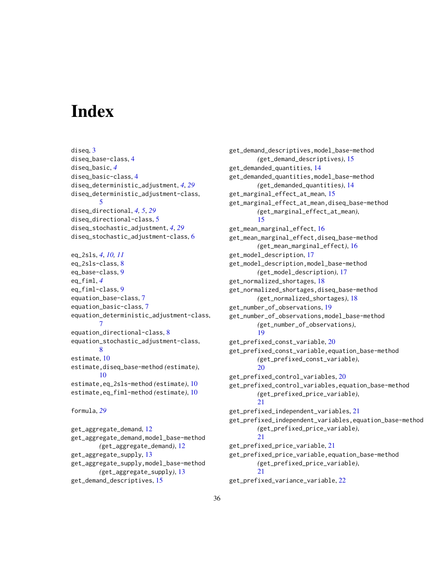# <span id="page-35-0"></span>**Index**

diseq, [3](#page-2-0) diseq\_base-class, [4](#page-3-0) diseq\_basic, *[4](#page-3-0)* diseq\_basic-class, [4](#page-3-0) diseq\_deterministic\_adjustment, *[4](#page-3-0)*, *[29](#page-28-0)* diseq\_deterministic\_adjustment-class, [5](#page-4-0) diseq\_directional, *[4,](#page-3-0) [5](#page-4-0)*, *[29](#page-28-0)* diseq\_directional-class, [5](#page-4-0) diseq\_stochastic\_adjustment, *[4](#page-3-0)*, *[29](#page-28-0)* diseq\_stochastic\_adjustment-class, [6](#page-5-0) eq\_2sls, *[4](#page-3-0)*, *[10,](#page-9-0) [11](#page-10-0)* eq\_2sls-class, [8](#page-7-0) eq\_base-class, [9](#page-8-0) eq\_fiml, *[4](#page-3-0)* eq\_fiml-class, [9](#page-8-0) equation\_base-class, [7](#page-6-0) equation\_basic-class, [7](#page-6-0) equation\_deterministic\_adjustment-class, [7](#page-6-0) equation\_directional-class, [8](#page-7-0) equation\_stochastic\_adjustment-class, [8](#page-7-0) estimate, [10](#page-9-0) estimate,diseq\_base-method *(*estimate*)*, [10](#page-9-0)

estimate,eq\_2sls-method *(*estimate*)*, [10](#page-9-0) estimate,eq\_fiml-method *(*estimate*)*, [10](#page-9-0)

```
formula, 29
```
get\_aggregate\_demand, [12](#page-11-0) get\_aggregate\_demand,model\_base-method *(*get\_aggregate\_demand*)*, [12](#page-11-0) get\_aggregate\_supply, [13](#page-12-0) get\_aggregate\_supply,model\_base-method *(*get\_aggregate\_supply*)*, [13](#page-12-0) get\_demand\_descriptives, [15](#page-14-0)

get\_demand\_descriptives,model\_base-method *(*get\_demand\_descriptives*)*, [15](#page-14-0) get\_demanded\_quantities, [14](#page-13-0) get\_demanded\_quantities,model\_base-method *(*get\_demanded\_quantities*)*, [14](#page-13-0) get\_marginal\_effect\_at\_mean, [15](#page-14-0) get\_marginal\_effect\_at\_mean,diseq\_base-method *(*get\_marginal\_effect\_at\_mean*)*, [15](#page-14-0) get\_mean\_marginal\_effect, [16](#page-15-0) get\_mean\_marginal\_effect,diseq\_base-method *(*get\_mean\_marginal\_effect*)*, [16](#page-15-0) get\_model\_description, [17](#page-16-0) get\_model\_description,model\_base-method *(*get\_model\_description*)*, [17](#page-16-0) get\_normalized\_shortages, [18](#page-17-0) get\_normalized\_shortages,diseq\_base-method *(*get\_normalized\_shortages*)*, [18](#page-17-0) get\_number\_of\_observations, [19](#page-18-0) get\_number\_of\_observations,model\_base-method *(*get\_number\_of\_observations*)*, [19](#page-18-0) get\_prefixed\_const\_variable, [20](#page-19-0) get\_prefixed\_const\_variable,equation\_base-method *(*get\_prefixed\_const\_variable*)*, [20](#page-19-0) get\_prefixed\_control\_variables, [20](#page-19-0) get\_prefixed\_control\_variables,equation\_base-method *(*get\_prefixed\_price\_variable*)*, [21](#page-20-0) get\_prefixed\_independent\_variables, [21](#page-20-0) get\_prefixed\_independent\_variables,equation\_base-method *(*get\_prefixed\_price\_variable*)*, [21](#page-20-0) get\_prefixed\_price\_variable, [21](#page-20-0) get\_prefixed\_price\_variable,equation\_base-method *(*get\_prefixed\_price\_variable*)*, [21](#page-20-0)

get\_prefixed\_variance\_variable, [22](#page-21-0)